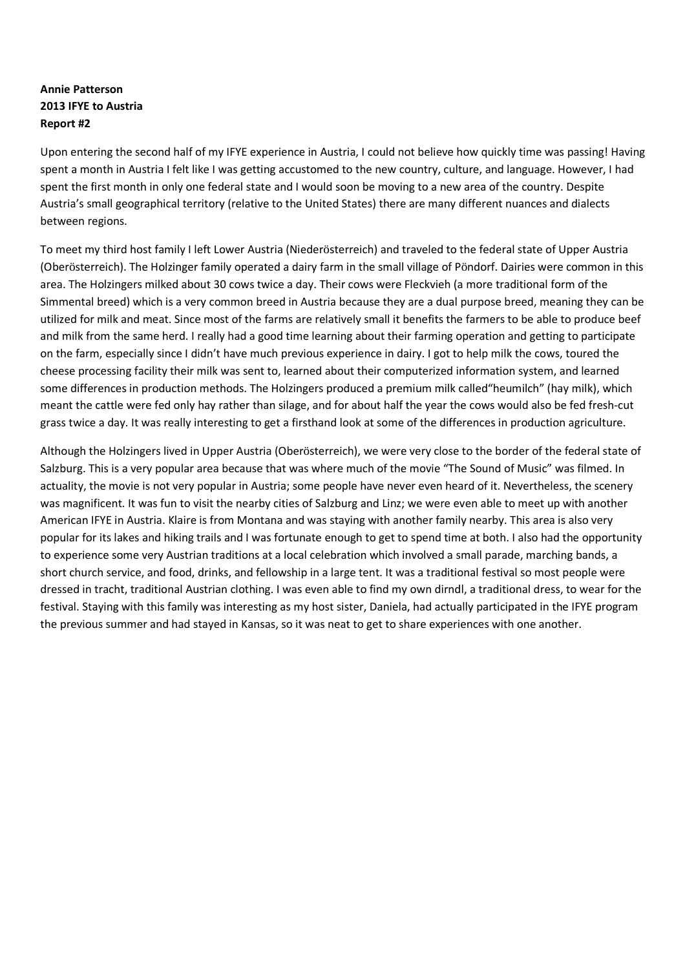## **Annie Patterson 2013 IFYE to Austria Report #2**

Upon entering the second half of my IFYE experience in Austria, I could not believe how quickly time was passing! Having spent a month in Austria I felt like I was getting accustomed to the new country, culture, and language. However, I had spent the first month in only one federal state and I would soon be moving to a new area of the country. Despite Austria's small geographical territory (relative to the United States) there are many different nuances and dialects between regions.

To meet my third host family I left Lower Austria (Niederösterreich) and traveled to the federal state of Upper Austria (Oberösterreich). The Holzinger family operated a dairy farm in the small village of Pöndorf. Dairies were common in this area. The Holzingers milked about 30 cows twice a day. Their cows were Fleckvieh (a more traditional form of the Simmental breed) which is a very common breed in Austria because they are a dual purpose breed, meaning they can be utilized for milk and meat. Since most of the farms are relatively small it benefits the farmers to be able to produce beef and milk from the same herd. I really had a good time learning about their farming operation and getting to participate on the farm, especially since I didn't have much previous experience in dairy. I got to help milk the cows, toured the cheese processing facility their milk was sent to, learned about their computerized information system, and learned some differences in production methods. The Holzingers produced a premium milk called"heumilch" (hay milk), which meant the cattle were fed only hay rather than silage, and for about half the year the cows would also be fed fresh-cut grass twice a day. It was really interesting to get a firsthand look at some of the differences in production agriculture.

Although the Holzingers lived in Upper Austria (Oberösterreich), we were very close to the border of the federal state of Salzburg. This is a very popular area because that was where much of the movie "The Sound of Music" was filmed. In actuality, the movie is not very popular in Austria; some people have never even heard of it. Nevertheless, the scenery was magnificent. It was fun to visit the nearby cities of Salzburg and Linz; we were even able to meet up with another American IFYE in Austria. Klaire is from Montana and was staying with another family nearby. This area is also very popular for its lakes and hiking trails and I was fortunate enough to get to spend time at both. I also had the opportunity to experience some very Austrian traditions at a local celebration which involved a small parade, marching bands, a short church service, and food, drinks, and fellowship in a large tent. It was a traditional festival so most people were dressed in tracht, traditional Austrian clothing. I was even able to find my own dirndl, a traditional dress, to wear for the festival. Staying with this family was interesting as my host sister, Daniela, had actually participated in the IFYE program the previous summer and had stayed in Kansas, so it was neat to get to share experiences with one another.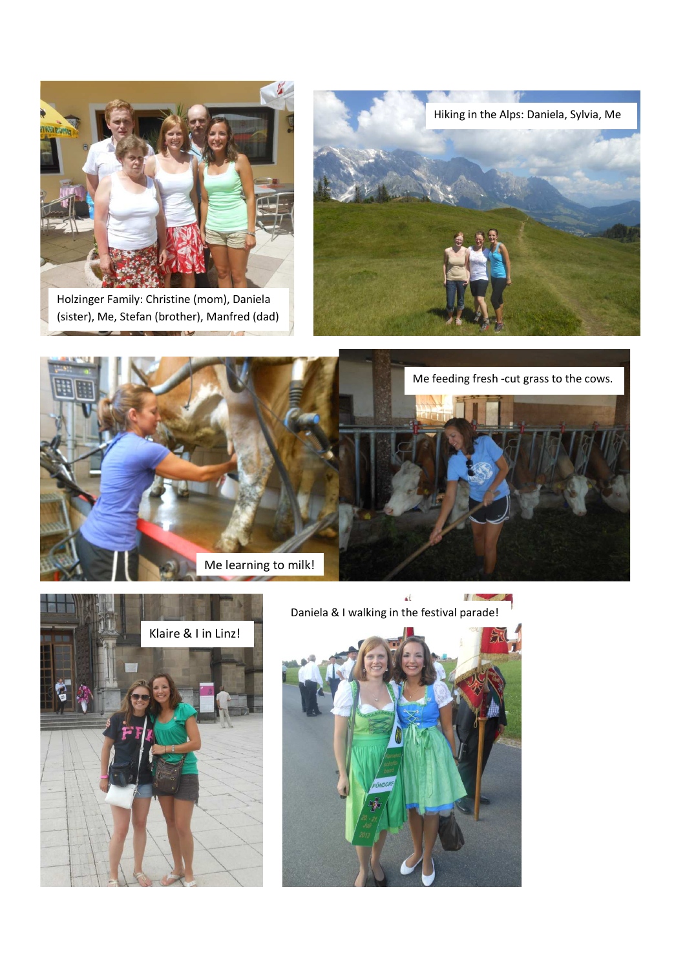

Holzinger Family: Christine (mom), Daniela (sister), Me, Stefan (brother), Manfred (dad)







áÍ y na Daniela & I walking in the festival parade!

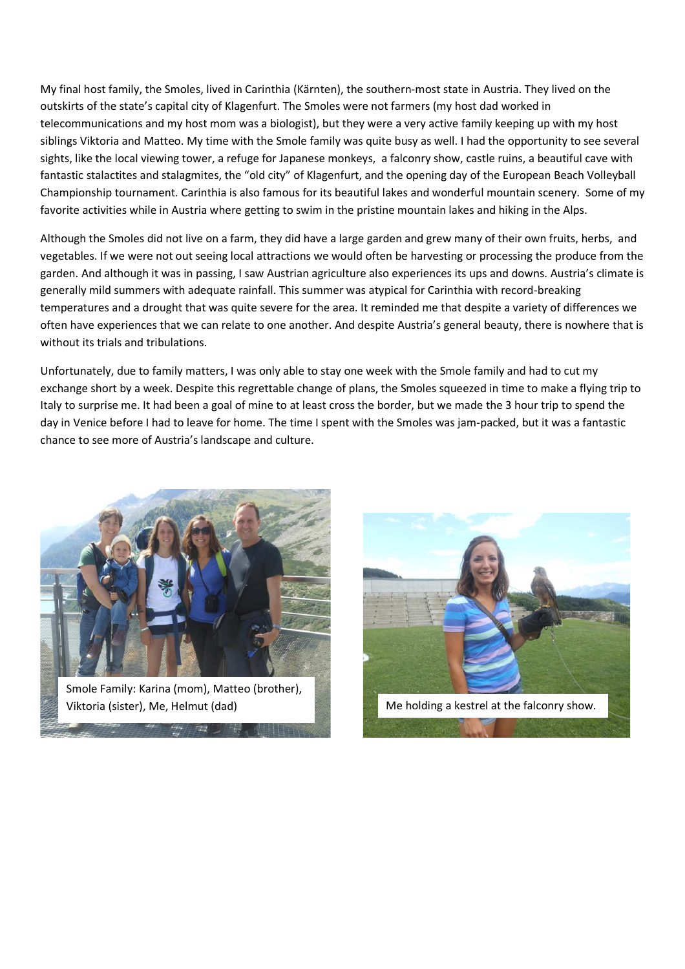My final host family, the Smoles, lived in Carinthia (Kärnten), the southern-most state in Austria. They lived on the outskirts of the state's capital city of Klagenfurt. The Smoles were not farmers (my host dad worked in telecommunications and my host mom was a biologist), but they were a very active family keeping up with my host siblings Viktoria and Matteo. My time with the Smole family was quite busy as well. I had the opportunity to see several sights, like the local viewing tower, a refuge for Japanese monkeys, a falconry show, castle ruins, a beautiful cave with fantastic stalactites and stalagmites, the "old city" of Klagenfurt, and the opening day of the European Beach Volleyball Championship tournament. Carinthia is also famous for its beautiful lakes and wonderful mountain scenery. Some of my favorite activities while in Austria where getting to swim in the pristine mountain lakes and hiking in the Alps.

Although the Smoles did not live on a farm, they did have a large garden and grew many of their own fruits, herbs, and vegetables. If we were not out seeing local attractions we would often be harvesting or processing the produce from the garden. And although it was in passing, I saw Austrian agriculture also experiences its ups and downs. Austria's climate is generally mild summers with adequate rainfall. This summer was atypical for Carinthia with record-breaking temperatures and a drought that was quite severe for the area. It reminded me that despite a variety of differences we often have experiences that we can relate to one another. And despite Austria's general beauty, there is nowhere that is without its trials and tribulations.

Unfortunately, due to family matters, I was only able to stay one week with the Smole family and had to cut my exchange short by a week. Despite this regrettable change of plans, the Smoles squeezed in time to make a flying trip to Italy to surprise me. It had been a goal of mine to at least cross the border, but we made the 3 hour trip to spend the day in Venice before I had to leave for home. The time I spent with the Smoles was jam-packed, but it was a fantastic chance to see more of Austria's landscape and culture.



Smole Family: Karina (mom), Matteo (brother),

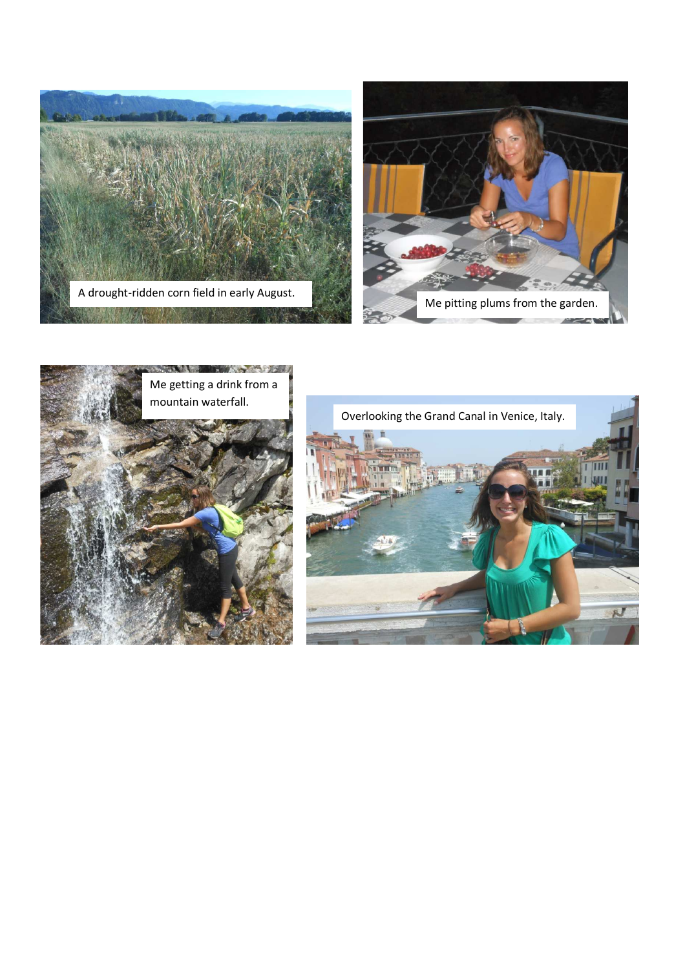